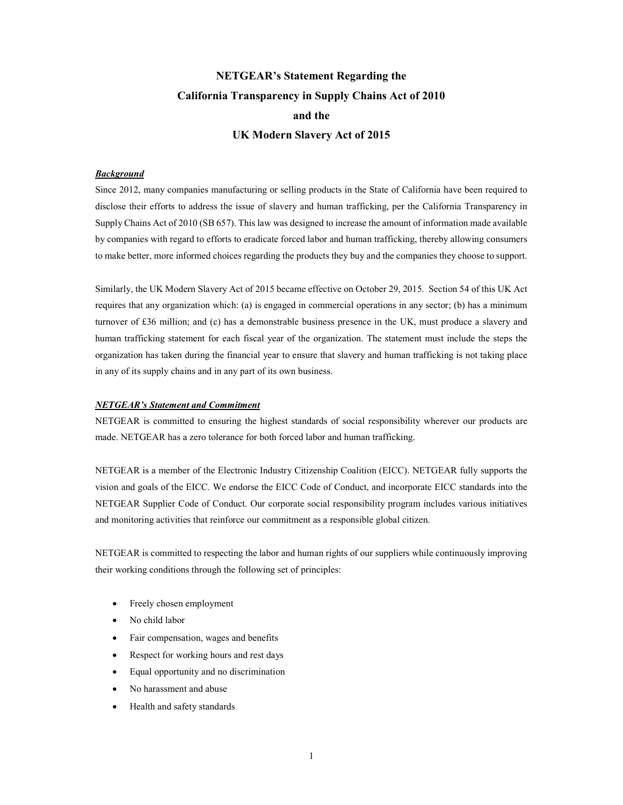## NETGEAR's Statement Regarding the California Transparency in Supply Chains Act of 2010 and the UK Modern Slavery Act of 2015

## **Background**

Since 2012, many companies manufacturing or selling products in the State of California have been required to disclose their efforts to address the issue of slavery and human trafficking, per the California Transparency in Supply Chains Act of 2010 (SB 657). This law was designed to increase the amount of information made available by companies with regard to efforts to eradicate forced labor and human trafficking, thereby allowing consumers to make better, more informed choices regarding the products they buy and the companies they choose to support.

Similarly, the UK Modern Slavery Act of 2015 became effective on October 29, 2015. Section 54 of this UK Act requires that any organization which: (a) is engaged in commercial operations in any sector; (b) has a minimum turnover of £36 million; and (c) has a demonstrable business presence in the UK, must produce a slavery and human trafficking statement for each fiscal year of the organization. The statement must include the steps the organization has taken during the financial year to ensure that slavery and human trafficking is not taking place in any of its supply chains and in any part of its own business.

## NETGEAR's Statement and Commitment

NETGEAR is committed to ensuring the highest standards of social responsibility wherever our products are made. NETGEAR has a zero tolerance for both forced labor and human trafficking.

NETGEAR is a member of the Electronic Industry Citizenship Coalition (EICC). NETGEAR fully supports the vision and goals of the EICC. We endorse the EICC Code of Conduct, and incorporate EICC standards into the NETGEAR Supplier Code of Conduct. Our corporate social responsibility program includes various initiatives and monitoring activities that reinforce our commitment as a responsible global citizen.

NETGEAR is committed to respecting the labor and human rights of our suppliers while continuously improving their working conditions through the following set of principles:

- Freely chosen employment
- No child labor
- Fair compensation, wages and benefits
- Respect for working hours and rest days
- Equal opportunity and no discrimination
- No harassment and abuse
- Health and safety standards